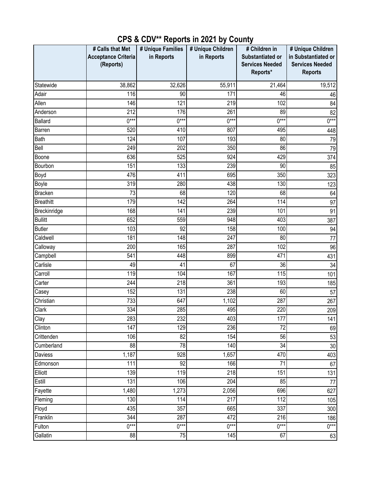|                              | # Calls that Met           | # Unique Families | # Unique Children | # Children in          | # Unique Children      |
|------------------------------|----------------------------|-------------------|-------------------|------------------------|------------------------|
|                              | <b>Acceptance Criteria</b> | in Reports        | in Reports        | Substantiated or       | in Substantiated or    |
|                              | (Reports)                  |                   |                   | <b>Services Needed</b> | <b>Services Needed</b> |
|                              |                            |                   |                   | Reports*               | <b>Reports</b>         |
| Statewide                    | 38,862                     | 32,626            | 55,911            | 21,464                 | 19,512                 |
| Adair                        | 116                        | 90                | 171               | 46                     | 46                     |
| Allen                        | 146                        | 121               | 219               | 102                    | 84                     |
| Anderson                     | 212                        | 176               | 261               | 89                     | 82                     |
| <b>Ballard</b>               | $0***$                     | $0***$            | $0***$            | $0***$                 | $0***$                 |
| Barren                       | 520                        | 410               | 807               | 495                    | 448                    |
| Bath                         | 124                        | 107               | 193               | 80                     | 79                     |
| Bell                         | 249                        | 202               | 350               | 86                     | 79                     |
| Boone                        | 636                        | 525               | 924               | 429                    | 374                    |
| Bourbon                      | 151                        | 133               | 239               | 90                     | 85                     |
| Boyd                         | 476                        | 411               | 695               | 350                    | 323                    |
| Boyle                        | 319                        | 280               | 438               | 130                    | 123                    |
| <b>Bracken</b>               | 73                         | 68                | 120               | 68                     | 64                     |
| <b>Breathitt</b>             | 179                        | 142               | 264               | 114                    | 97                     |
| Breckinridge                 | 168                        | 141               | 239               | 101                    | 91                     |
| <b>Bullitt</b>               | 652                        | 559               | 948               | 403                    | 387                    |
| <b>Butler</b>                | 103                        | 92                | 158               | 100                    | 94                     |
| Caldwell                     | 181                        | 148               | 247               | 80                     | 77                     |
| Calloway                     | 200                        | 165               | 287               | 102                    | 96                     |
| Campbell                     | 541                        | 448               | 899               | 471                    | 431                    |
| Carlisle                     | 49                         | 41                | 67                | 36                     | 34                     |
| Carroll                      | 119                        | 104               | 167               | 115                    | 101                    |
| Carter                       | 244                        | 218               | 361               | 193                    | 185                    |
| Casey                        | 152                        | 131               | 238               | 60                     | 57                     |
| Christian                    | 733                        | 647               | 1,102             | 287                    | 267                    |
| Clark                        | 334                        | 285               | 495               | 220                    | 209                    |
| Clay                         | 283                        | 232               | 403               | 177                    | 141                    |
| $\overline{\text{C}}$ linton | 147                        | 129               | 236               | 72                     | 69                     |
| Crittenden                   | 106                        | $\overline{82}$   | 154               | 56                     | 53                     |
| Cumberland                   | 88                         | $\overline{78}$   | 140               | $\overline{34}$        | 30 <sup>°</sup>        |
| Daviess                      | 1,187                      | 928               | 1,657             | 470                    | 403                    |
| Edmonson                     | 111                        | $\overline{92}$   | 166               | 71                     | 67                     |
| Elliott                      | 139                        | 119               | 218               | 151                    | 131                    |
| Estill                       | 131                        | 106               | 204               | 85                     | 77                     |
| Fayette                      | 1,480                      | 1,273             | 2,056             | 696                    | 627                    |
| Fleming                      | 130                        | 114               | $\overline{217}$  | 112                    | 105                    |
| Floyd                        | 435                        | 357               | 665               | 337                    | 300                    |
| Franklin                     | 344                        | 287               | 472               | 216                    | 186                    |
| Fulton                       | $0***$                     | $0***$            | $0***$            | $0***$                 | $0***$                 |
| Gallatin                     | 88                         | 75                | 145               | 67                     | 63                     |

## **CPS & CDV\*\* Reports in 2021 by County**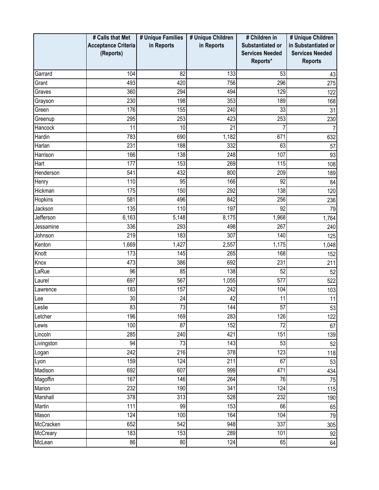|                 | # Calls that Met           | # Unique Families | # Unique Children | # Children in          | # Unique Children      |
|-----------------|----------------------------|-------------------|-------------------|------------------------|------------------------|
|                 | <b>Acceptance Criteria</b> | in Reports        | in Reports        | Substantiated or       | in Substantiated or    |
|                 | (Reports)                  |                   |                   | <b>Services Needed</b> | <b>Services Needed</b> |
|                 |                            |                   |                   | Reports*               | <b>Reports</b>         |
| Garrard         | 104                        | 82                | 133               | 53                     | 43                     |
| Grant           | 493                        | 420               | 756               | 296                    | 275                    |
| Graves          | 360                        | 294               | 494               | 129                    | 122                    |
| Grayson         | 230                        | 198               | 353               | 189                    | 168                    |
| Green           | 176                        | 155               | 240               | 33                     | 31                     |
| Greenup         | 295                        | 253               | 423               | 253                    | 230                    |
| Hancock         | 11                         | 10                | 21                |                        |                        |
| Hardin          | 783                        | 690               | 1,182             | 671                    | 632                    |
| Harlan          | 231                        | 188               | 332               | 63                     | 57                     |
| Harrison        | 166                        | 138               | 248               | 107                    | 93                     |
| Hart            | 177                        | 153               | 269               | 115                    | 108                    |
| Henderson       | 541                        | 432               | 800               | 209                    | 189                    |
| Henry           | 110                        | 95                | 166               | 92                     | 84                     |
| Hickman         | 175                        | 150               | 292               | 138                    | 120                    |
| Hopkins         | 581                        | 496               | 842               | 256                    | 236                    |
| Jackson         | 135                        | 110               | 197               | 92                     | 79                     |
| Jefferson       | 6,163                      | 5,148             | 8,175             | 1,968                  | 1,764                  |
| Jessamine       | 336                        | 293               | 498               | 267                    | 240                    |
| Johnson         | 219                        | 183               | 307               | 140                    | 125                    |
| Kenton          | 1,669                      | 1,427             | 2,557             | 1,175                  | 1,048                  |
| Knott           | 173                        | 145               | 265               | 168                    | 152                    |
| Knox            | 473                        | 386               | 692               | 231                    | 211                    |
| LaRue           | 96                         | 85                | 138               | 52                     | 52                     |
| Laurel          | 697                        | 567               | 1,055             | 577                    | 522                    |
| Lawrence        | 183                        | 157               | 242               | 104                    | 103                    |
| Lee             | 30                         | 24                | 42                | 11                     | 11                     |
| Leslie          | 83                         | 73                | 144               | 57                     | 53                     |
| Letcher         | 196                        | 169               | 283               | 126                    | 122                    |
| Lewis           | 100                        | $\overline{87}$   | 152               | $\overline{72}$        | 67                     |
| Lincoln         | 285                        | 240               | 421               | 151                    | 139                    |
| Livingston      | 94                         | 73                | 143               | 53                     | 52                     |
| Logan           | $\overline{242}$           | 216               | 378               | 123                    | 118                    |
| Lyon            | 159                        | 124               | $\overline{211}$  | 67                     | 53                     |
| Madison         | 692                        | 607               | 999               | 471                    | 434                    |
| Magoffin        | 167                        | 146               | 264               | 76                     | 75                     |
| Marion          | 232                        | 190               | 341               | 124                    | 115                    |
| Marshall        | 378                        | 313               | 528               | 232                    | 190                    |
| Martin          | 111                        | 99                | 153               | 66                     | 65                     |
| Mason           | 124                        | 100               | 164               | 104                    | 79                     |
| McCracken       | 652                        | 542               | 948               | 337                    | 305                    |
| <b>McCreary</b> | 183                        | 153               | 289               | 101                    | 92                     |
| McLean          | 86                         | 80                | 124               | 65                     | 64                     |